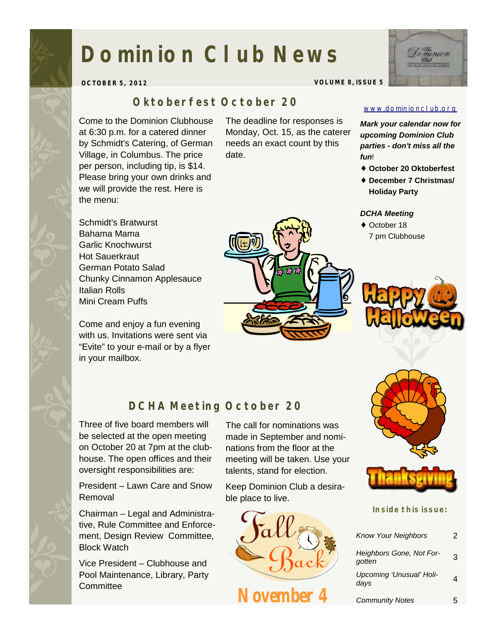# **Dominion Club News**



**OCTOBER 5, 2012 VOLUME 8, ISSUE 5** 

## *Oktoberfest October 20*

Come to the Dominion Clubhouse at 6:30 p.m. for a catered dinner by Schmidt's Catering, of German Village, in Columbus. The price per person, including tip, is \$14. Please bring your own drinks and we will provide the rest. Here is the menu:

The deadline for responses is

Schmidt's Bratwurst Bahama Mama Garlic Knochwurst Hot Sauerkraut German Potato Salad Chunky Cinnamon Applesauce Italian Rolls Mini Cream Puffs

Come and enjoy a fun evening with us. Invitations were sent via "Evite" to your e-mail or by a flyer in your mailbox.

Monday, Oct. 15, as the caterer needs an exact count by this date.



# *DCHA Meeting October 20*

Three of five board members will be selected at the open meeting on October 20 at 7pm at the clubhouse. The open offices and their oversight responsibilities are:

President – Lawn Care and Snow Removal

Chairman – Legal and Administrative, Rule Committee and Enforcement, Design Review Committee, Block Watch

Vice President – Clubhouse and Pool Maintenance, Library, Party **Committee** 

The call for nominations was made in September and nominations from the floor at the meeting will be taken. Use your talents, stand for election.

Keep Dominion Club a desirable place to live.



#### [www.dominionclub.org](http://www.dominionclub.org)

*Mark your calendar now for upcoming Dominion Club parties - don't miss all the fun*!

- ♦ **October 20 Oktoberfest**
- ♦ **December 7 Christmas/ Holiday Party**

#### *DCHA Meeting*

♦ October 18 7 pm Clubhouse





#### **Inside this issue:**

| <b>Know Your Neighbors</b>         | 2 |
|------------------------------------|---|
| Heighbors Gone, Not For-<br>gotten | 3 |
| Upcoming 'Unusual' Holi-<br>days   |   |
| <b>Community Notes</b>             |   |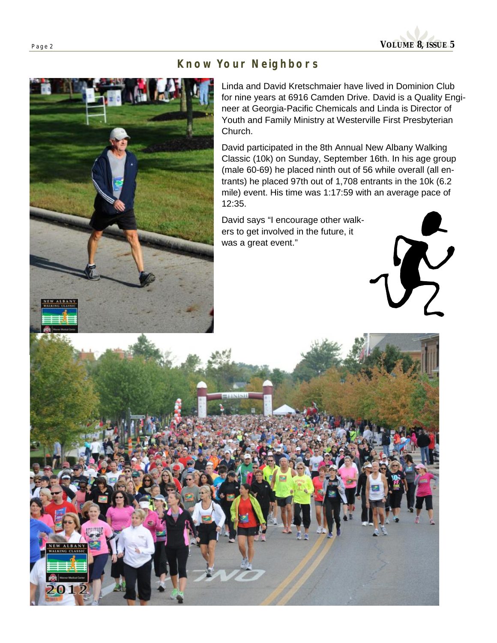

### *Know Your Neighbors*



Linda and David Kretschmaier have lived in Dominion Club for nine years at 6916 Camden Drive. David is a Quality Engineer at Georgia-Pacific Chemicals and Linda is Director of Youth and Family Ministry at Westerville First Presbyterian Church.

David participated in the 8th Annual New Albany Walking Classic (10k) on Sunday, September 16th. In his age group (male 60-69) he placed ninth out of 56 while overall (all entrants) he placed 97th out of 1,708 entrants in the 10k (6.2 mile) event. His time was 1:17:59 with an average pace of 12:35.

David says "I encourage other walkers to get involved in the future, it was a great event."

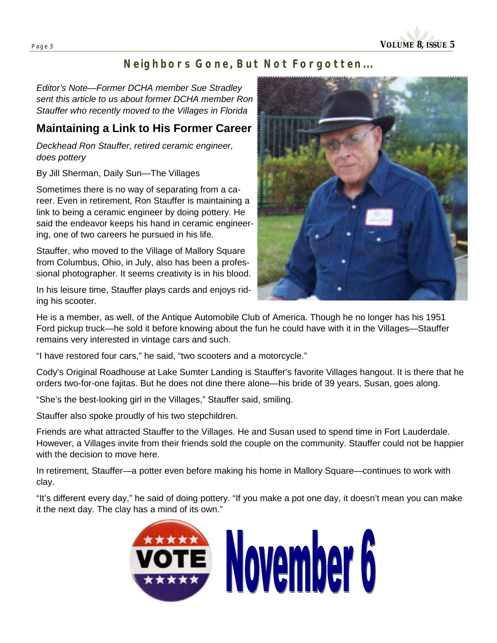**Page <sup>3</sup>VOLUME 8, ISSUE 5** 

# *Neighbors Gone, But Not Forgotten...*

*Editor's Note—Former DCHA member Sue Stradley sent this article to us about former DCHA member Ron Stauffer who recently moved to the Villages in Florida* 

## **Maintaining a Link to His Former Career**

*Deckhead Ron Stauffer, retired ceramic engineer, does pottery* 

By Jill Sherman, Daily Sun—The Villages

Sometimes there is no way of separating from a career. Even in retirement, Ron Stauffer is maintaining a link to being a ceramic engineer by doing pottery. He said the endeavor keeps his hand in ceramic engineering, one of two careers he pursued in his life.

Stauffer, who moved to the Village of Mallory Square from Columbus, Ohio, in July, also has been a professional photographer. It seems creativity is in his blood.

In his leisure time, Stauffer plays cards and enjoys riding his scooter.



He is a member, as well, of the Antique Automobile Club of America. Though he no longer has his 1951 Ford pickup truck—he sold it before knowing about the fun he could have with it in the Villages—Stauffer remains very interested in vintage cars and such.

"I have restored four cars," he said, "two scooters and a motorcycle."

Cody's Original Roadhouse at Lake Sumter Landing is Stauffer's favorite Villages hangout. It is there that he orders two-for-one fajitas. But he does not dine there alone—his bride of 39 years, Susan, goes along.

"She's the best-looking girl in the Villages," Stauffer said, smiling.

Stauffer also spoke proudly of his two stepchildren.

Friends are what attracted Stauffer to the Villages. He and Susan used to spend time in Fort Lauderdale. However, a Villages invite from their friends sold the couple on the community. Stauffer could not be happier with the decision to move here.

In retirement, Stauffer—a potter even before making his home in Mallory Square—continues to work with clay.

"It's different every day," he said of doing pottery. "If you make a pot one day, it doesn't mean you can make it the next day. The clay has a mind of its own."

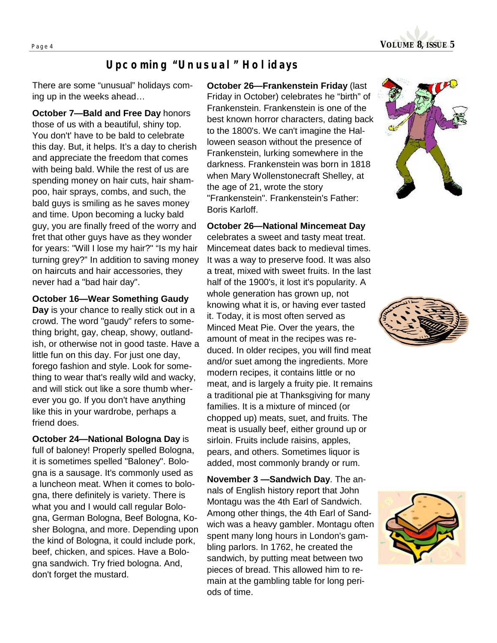

## *Upcoming "Unusual" Holidays*

There are some "unusual" holidays coming up in the weeks ahead…

**October 7—Bald and Free Day** honors those of us with a beautiful, shiny top. You don't' have to be bald to celebrate this day. But, it helps. It's a day to cherish and appreciate the freedom that comes with being bald. While the rest of us are spending money on hair cuts, hair shampoo, hair sprays, combs, and such, the bald guys is smiling as he saves money and time. Upon becoming a lucky bald guy, you are finally freed of the worry and fret that other guys have as they wonder for years: "Will I lose my hair?" "Is my hair turning grey?" In addition to saving money on haircuts and hair accessories, they never had a "bad hair day".

#### **October 16—Wear Something Gaudy**

**Day** is your chance to really stick out in a crowd. The word "gaudy" refers to something bright, gay, cheap, showy, outlandish, or otherwise not in good taste. Have a little fun on this day. For just one day, forego fashion and style. Look for something to wear that's really wild and wacky, and will stick out like a sore thumb wherever you go. If you don't have anything like this in your wardrobe, perhaps a friend does.

**October 24—National Bologna Day** is full of baloney! Properly spelled Bologna, it is sometimes spelled "Baloney". Bologna is a sausage. It's commonly used as a luncheon meat. When it comes to bologna, there definitely is variety. There is what you and I would call regular Bologna, German Bologna, Beef Bologna, Kosher Bologna, and more. Depending upon the kind of Bologna, it could include pork, beef, chicken, and spices. Have a Bologna sandwich. Try fried bologna. And, don't forget the mustard.

**October 26—Frankenstein Friday** (last Friday in October) celebrates he "birth" of Frankenstein. Frankenstein is one of the best known horror characters, dating back to the 1800's. We can't imagine the Halloween season without the presence of Frankenstein, lurking somewhere in the darkness. Frankenstein was born in 1818 when Mary Wollenstonecraft Shelley, at the age of 21, wrote the story "Frankenstein". Frankenstein's Father: Boris Karloff.

#### **October 26—National Mincemeat Day**

celebrates a sweet and tasty meat treat. Mincemeat dates back to medieval times. It was a way to preserve food. It was also a treat, mixed with sweet fruits. In the last half of the 1900's, it lost it's popularity. A whole generation has grown up, not knowing what it is, or having ever tasted it. Today, it is most often served as Minced Meat Pie. Over the years, the amount of meat in the recipes was reduced. In older recipes, you will find meat and/or suet among the ingredients. More modern recipes, it contains little or no meat, and is largely a fruity pie. It remains a traditional pie at Thanksgiving for many families. It is a mixture of minced (or chopped up) meats, suet, and fruits. The meat is usually beef, either ground up or sirloin. Fruits include raisins, apples, pears, and others. Sometimes liquor is added, most commonly brandy or rum.

**November 3 —Sandwich Day**. The annals of English history report that John Montagu was the 4th Earl of Sandwich. Among other things, the 4th Earl of Sandwich was a heavy gambler. Montagu often spent many long hours in London's gambling parlors. In 1762, he created the sandwich, by putting meat between two pieces of bread. This allowed him to remain at the gambling table for long periods of time.